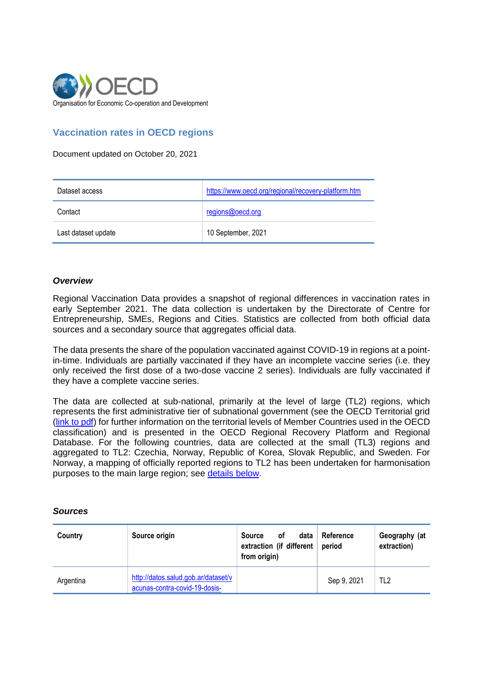

## **Vaccination rates in OECD regions**

Document updated on October 20, 2021

| Dataset access      | https://www.oecd.org/regional/recovery-platform.htm |
|---------------------|-----------------------------------------------------|
| Contact             | regions@oecd.org                                    |
| Last dataset update | 10 September, 2021                                  |

## *Overview*

Regional Vaccination Data provides a snapshot of regional differences in vaccination rates in early September 2021. The data collection is undertaken by the Directorate of Centre for Entrepreneurship, SMEs, Regions and Cities. Statistics are collected from both official data sources and a secondary source that aggregates official data.

The data presents the share of the population vaccinated against COVID-19 in regions at a pointin-time. Individuals are partially vaccinated if they have an incomplete vaccine series (i.e. they only received the first dose of a two-dose vaccine 2 series). Individuals are fully vaccinated if they have a complete vaccine series.

The data are collected at sub-national, primarily at the level of large (TL2) regions, which represents the first administrative tier of subnational government (see the OECD Territorial grid [\(link to pdf\)](https://www.oecd.org/regional/regional-statistics/territorial-grid.pdf) for further information on the territorial levels of Member Countries used in the OECD classification) and is presented in the OECD Regional Recovery Platform and Regional Database. For the following countries, data are collected at the small (TL3) regions and aggregated to TL2: Czechia, Norway, Republic of Korea, Slovak Republic, and Sweden. For Norway, a mapping of officially reported regions to TL2 has been undertaken for harmonisation purposes to the main large region; see [details below.](#page-2-0)

## *Sources*

| Country   | Source origin                                                        | data<br>Source<br>οf<br>extraction (if different<br>from origin) | Reference<br>period | Geography (at<br>extraction) |
|-----------|----------------------------------------------------------------------|------------------------------------------------------------------|---------------------|------------------------------|
| Argentina | http://datos.salud.gob.ar/dataset/v<br>acunas-contra-covid-19-dosis- |                                                                  | Sep 9, 2021         | TL <sub>2</sub>              |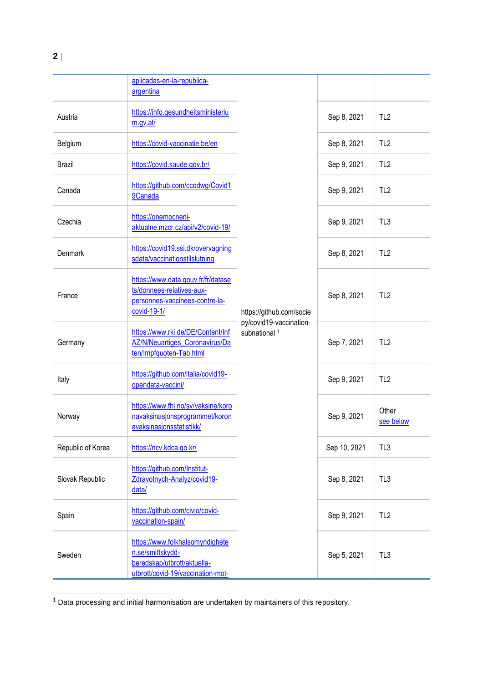|                   | aplicadas-en-la-republica-<br>argentina                                                                                 | https://github.com/socie<br>py/covid19-vaccination-<br>subnational <sup>1</sup> |              |                    |
|-------------------|-------------------------------------------------------------------------------------------------------------------------|---------------------------------------------------------------------------------|--------------|--------------------|
| Austria           | https://info.gesundheitsministeriu<br>m.gv.at/                                                                          |                                                                                 | Sep 8, 2021  | TL <sub>2</sub>    |
| Belgium           | https://covid-vaccinatie.be/en                                                                                          |                                                                                 | Sep 8, 2021  | TL <sub>2</sub>    |
| <b>Brazil</b>     | https://covid.saude.gov.br/                                                                                             |                                                                                 | Sep 9, 2021  | TL <sub>2</sub>    |
| Canada            | https://github.com/ccodwg/Covid1<br>9Canada                                                                             |                                                                                 | Sep 9, 2021  | TL <sub>2</sub>    |
| Czechia           | https://onemocneni-<br>aktualne.mzcr.cz/api/v2/covid-19/                                                                |                                                                                 | Sep 9, 2021  | TL <sub>3</sub>    |
| Denmark           | https://covid19.ssi.dk/overvagning<br>sdata/vaccinationstilslutning                                                     |                                                                                 | Sep 8, 2021  | TL <sub>2</sub>    |
| France            | https://www.data.gouv.fr/fr/datase<br>ts/donnees-relatives-aux-<br>personnes-vaccinees-contre-la-<br>covid-19-1/        |                                                                                 | Sep 8, 2021  | TL <sub>2</sub>    |
| Germany           | https://www.rki.de/DE/Content/Inf<br><b>AZ/N/Neuartiges_Coronavirus/Da</b><br>ten/Impfquoten-Tab.html                   |                                                                                 | Sep 7, 2021  | TL <sub>2</sub>    |
| Italy             | https://github.com/italia/covid19-<br>opendata-vaccini/                                                                 |                                                                                 | Sep 9, 2021  | TL <sub>2</sub>    |
| Norway            | https://www.fhi.no/sv/vaksine/koro<br>navaksinasjonsprogrammet/koron<br>avaksinasjonsstatistikk/                        |                                                                                 | Sep 9, 2021  | Other<br>see below |
| Republic of Korea | https://ncv.kdca.go.kr/                                                                                                 |                                                                                 | Sep 10, 2021 | TL <sub>3</sub>    |
| Slovak Republic   | https://github.com/Institut-<br>Zdravotnych-Analyz/covid19-<br>data/                                                    |                                                                                 | Sep 8, 2021  | TL <sub>3</sub>    |
| Spain             | https://github.com/civio/covid-<br>vaccination-spain/                                                                   |                                                                                 | Sep 9, 2021  | TL <sub>2</sub>    |
| Sweden            | https://www.folkhalsomyndighete<br>n.se/smittskydd-<br>beredskap/utbrott/aktuella-<br>utbrott/covid-19/vaccination-mot- |                                                                                 | Sep 5, 2021  | TL <sub>3</sub>    |

 $1$  Data processing and initial harmonisation are undertaken by maintainers of this repository.